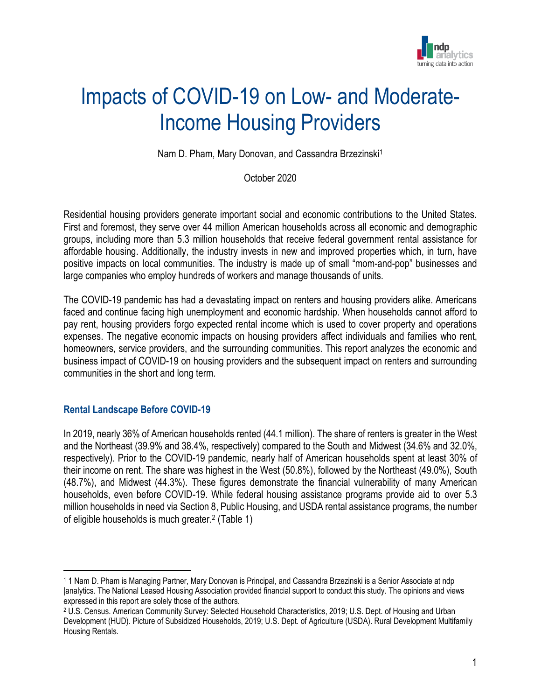

# Impacts of COVID-19 on Low- and Moderate-Income Housing Providers

Nam D. Pham, Mary Donovan, and Cassandra Brzezinski<sup>1</sup>

October 2020

Residential housing providers generate important social and economic contributions to the United States. First and foremost, they serve over 44 million American households across all economic and demographic groups, including more than 5.3 million households that receive federal government rental assistance for affordable housing. Additionally, the industry invests in new and improved properties which, in turn, have positive impacts on local communities. The industry is made up of small "mom-and-pop" businesses and large companies who employ hundreds of workers and manage thousands of units.

The COVID-19 pandemic has had a devastating impact on renters and housing providers alike. Americans faced and continue facing high unemployment and economic hardship. When households cannot afford to pay rent, housing providers forgo expected rental income which is used to cover property and operations expenses. The negative economic impacts on housing providers affect individuals and families who rent, homeowners, service providers, and the surrounding communities. This report analyzes the economic and business impact of COVID-19 on housing providers and the subsequent impact on renters and surrounding communities in the short and long term.

#### **Rental Landscape Before COVID-19**

In 2019, nearly 36% of American households rented (44.1 million). The share of renters is greater in the West and the Northeast (39.9% and 38.4%, respectively) compared to the South and Midwest (34.6% and 32.0%, respectively). Prior to the COVID-19 pandemic, nearly half of American households spent at least 30% of their income on rent. The share was highest in the West (50.8%), followed by the Northeast (49.0%), South (48.7%), and Midwest (44.3%). These figures demonstrate the financial vulnerability of many American households, even before COVID-19. While federal housing assistance programs provide aid to over 5.3 million households in need via Section 8, Public Housing, and USDA rental assistance programs, the number of eligible households is much greater.<sup>2</sup> (Table 1)

<sup>1</sup> 1 Nam D. Pham is Managing Partner, Mary Donovan is Principal, and Cassandra Brzezinski is a Senior Associate at ndp |analytics. The National Leased Housing Association provided financial support to conduct this study. The opinions and views expressed in this report are solely those of the authors.

<sup>2</sup> U.S. Census. American Community Survey: Selected Household Characteristics, 2019; U.S. Dept. of Housing and Urban Development (HUD). Picture of Subsidized Households, 2019; U.S. Dept. of Agriculture (USDA). Rural Development Multifamily Housing Rentals.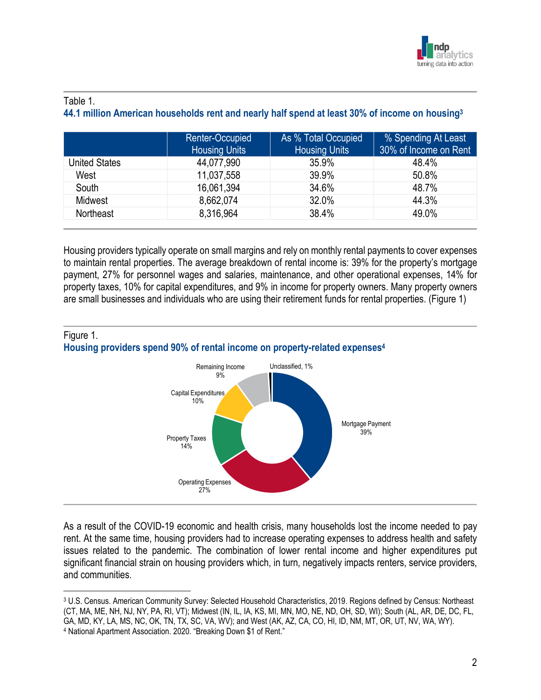

## Table 1.

**44.1 million American households rent and nearly half spend at least 30% of income on housing<sup>3</sup>**

|                | Renter-Occupied<br><b>Housing Units</b> | As % Total Occupied<br><b>Housing Units</b> | % Spending At Least<br>30% of Income on Rent |
|----------------|-----------------------------------------|---------------------------------------------|----------------------------------------------|
| United States  | 44,077,990                              | 35.9%                                       | 48.4%                                        |
| West           | 11,037,558                              | 39.9%                                       | 50.8%                                        |
| South          | 16,061,394                              | 34.6%                                       | 48.7%                                        |
| <b>Midwest</b> | 8,662,074                               | 32.0%                                       | 44.3%                                        |
| Northeast      | 8,316,964                               | 38.4%                                       | 49.0%                                        |

Housing providers typically operate on small margins and rely on monthly rental payments to cover expenses to maintain rental properties. The average breakdown of rental income is: 39% for the property's mortgage payment, 27% for personnel wages and salaries, maintenance, and other operational expenses, 14% for property taxes, 10% for capital expenditures, and 9% in income for property owners. Many property owners are small businesses and individuals who are using their retirement funds for rental properties. (Figure 1)





As a result of the COVID-19 economic and health crisis, many households lost the income needed to pay rent. At the same time, housing providers had to increase operating expenses to address health and safety issues related to the pandemic. The combination of lower rental income and higher expenditures put significant financial strain on housing providers which, in turn, negatively impacts renters, service providers, and communities.

<sup>3</sup> U.S. Census. American Community Survey: Selected Household Characteristics, 2019. Regions defined by Census: Northeast (CT, MA, ME, NH, NJ, NY, PA, RI, VT); Midwest (IN, IL, IA, KS, MI, MN, MO, NE, ND, OH, SD, WI); South (AL, AR, DE, DC, FL, GA, MD, KY, LA, MS, NC, OK, TN, TX, SC, VA, WV); and West (AK, AZ, CA, CO, HI, ID, NM, MT, OR, UT, NV, WA, WY). <sup>4</sup> National Apartment Association. 2020. "Breaking Down \$1 of Rent."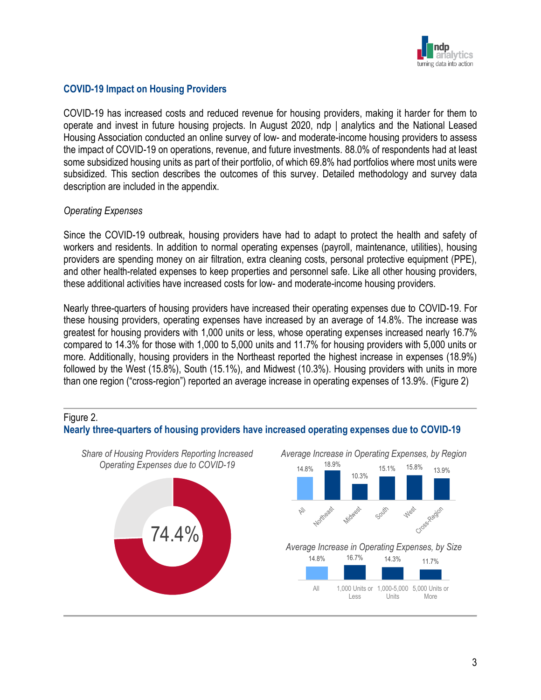

## **COVID-19 Impact on Housing Providers**

COVID-19 has increased costs and reduced revenue for housing providers, making it harder for them to operate and invest in future housing projects. In August 2020, ndp | analytics and the National Leased Housing Association conducted an online survey of low- and moderate-income housing providers to assess the impact of COVID-19 on operations, revenue, and future investments. 88.0% of respondents had at least some subsidized housing units as part of their portfolio, of which 69.8% had portfolios where most units were subsidized. This section describes the outcomes of this survey. Detailed methodology and survey data description are included in the appendix.

#### *Operating Expenses*

Since the COVID-19 outbreak, housing providers have had to adapt to protect the health and safety of workers and residents. In addition to normal operating expenses (payroll, maintenance, utilities), housing providers are spending money on air filtration, extra cleaning costs, personal protective equipment (PPE), and other health-related expenses to keep properties and personnel safe. Like all other housing providers, these additional activities have increased costs for low- and moderate-income housing providers.

Nearly three-quarters of housing providers have increased their operating expenses due to COVID-19. For these housing providers, operating expenses have increased by an average of 14.8%. The increase was greatest for housing providers with 1,000 units or less, whose operating expenses increased nearly 16.7% compared to 14.3% for those with 1,000 to 5,000 units and 11.7% for housing providers with 5,000 units or more. Additionally, housing providers in the Northeast reported the highest increase in expenses (18.9%) followed by the West (15.8%), South (15.1%), and Midwest (10.3%). Housing providers with units in more than one region ("cross-region") reported an average increase in operating expenses of 13.9%. (Figure 2)



3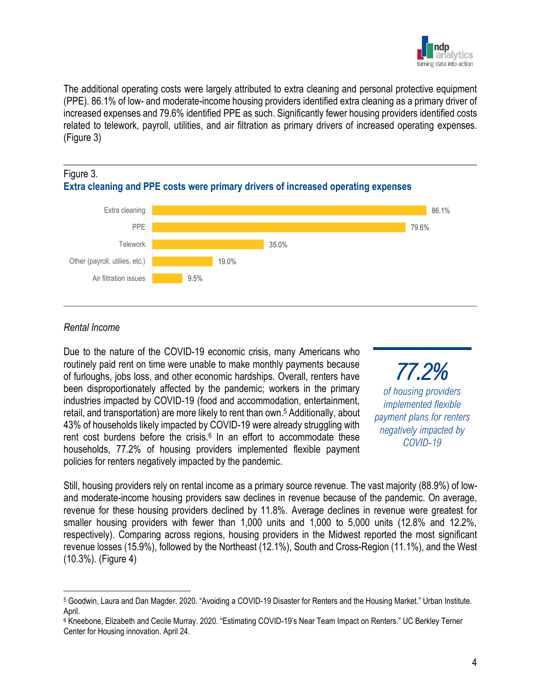

The additional operating costs were largely attributed to extra cleaning and personal protective equipment (PPE). 86.1% of low- and moderate-income housing providers identified extra cleaning as a primary driver of increased expenses and 79.6% identified PPE as such. Significantly fewer housing providers identified costs related to telework, payroll, utilities, and air filtration as primary drivers of increased operating expenses. (Figure 3)

## Figure 3. **Extra cleaning and PPE costs were primary drivers of increased operating expenses**



## *Rental Income*

Due to the nature of the COVID-19 economic crisis, many Americans who routinely paid rent on time were unable to make monthly payments because of furloughs, jobs loss, and other economic hardships. Overall, renters have been disproportionately affected by the pandemic; workers in the primary industries impacted by COVID-19 (food and accommodation, entertainment, retail, and transportation) are more likely to rent than own. <sup>5</sup> Additionally, about 43% of households likely impacted by COVID-19 were already struggling with rent cost burdens before the crisis.<sup>6</sup> In an effort to accommodate these households, 77.2% of housing providers implemented flexible payment policies for renters negatively impacted by the pandemic.

*77.2% of housing providers implemented flexible payment plans for renters negatively impacted by COVID-19*

Still, housing providers rely on rental income as a primary source revenue. The vast majority (88.9%) of lowand moderate-income housing providers saw declines in revenue because of the pandemic. On average, revenue for these housing providers declined by 11.8%. Average declines in revenue were greatest for smaller housing providers with fewer than 1,000 units and 1,000 to 5,000 units (12.8% and 12.2%, respectively). Comparing across regions, housing providers in the Midwest reported the most significant revenue losses (15.9%), followed by the Northeast (12.1%), South and Cross-Region (11.1%), and the West (10.3%). (Figure 4)

<sup>5</sup> Goodwin, Laura and Dan Magder. 2020. "Avoiding a COVID-19 Disaster for Renters and the Housing Market." Urban Institute. April.

<sup>6</sup> Kneebone, Elizabeth and Cecile Murray. 2020. "Estimating COVID-19's Near Team Impact on Renters." UC Berkley Terner Center for Housing innovation. April 24.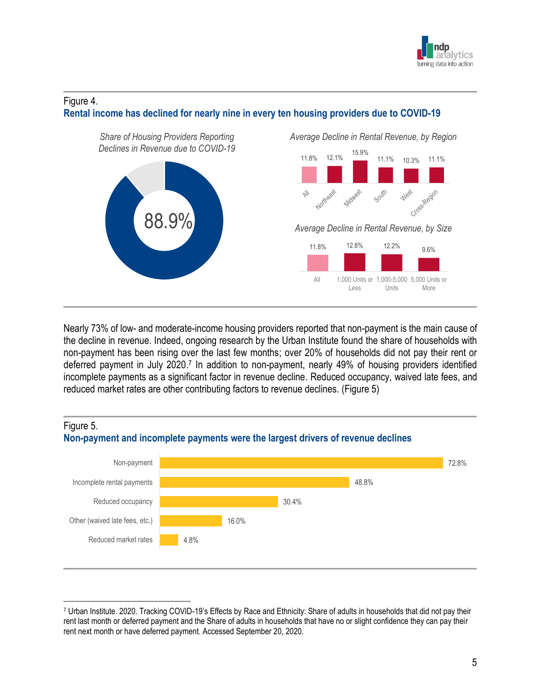

#### Figure 4.



**Rental income has declined for nearly nine in every ten housing providers due to COVID-19**

Nearly 73% of low- and moderate-income housing providers reported that non-payment is the main cause of the decline in revenue. Indeed, ongoing research by the Urban Institute found the share of households with non-payment has been rising over the last few months; over 20% of households did not pay their rent or deferred payment in July 2020.<sup>7</sup> In addition to non-payment, nearly 49% of housing providers identified incomplete payments as a significant factor in revenue decline. Reduced occupancy, waived late fees, and reduced market rates are other contributing factors to revenue declines. (Figure 5)



<sup>7</sup> Urban Institute. 2020. Tracking COVID-19's Effects by Race and Ethnicity: Share of adults in households that did not pay their rent last month or deferred payment and the Share of adults in households that have no or slight confidence they can pay their rent next month or have deferred payment. Accessed September 20, 2020.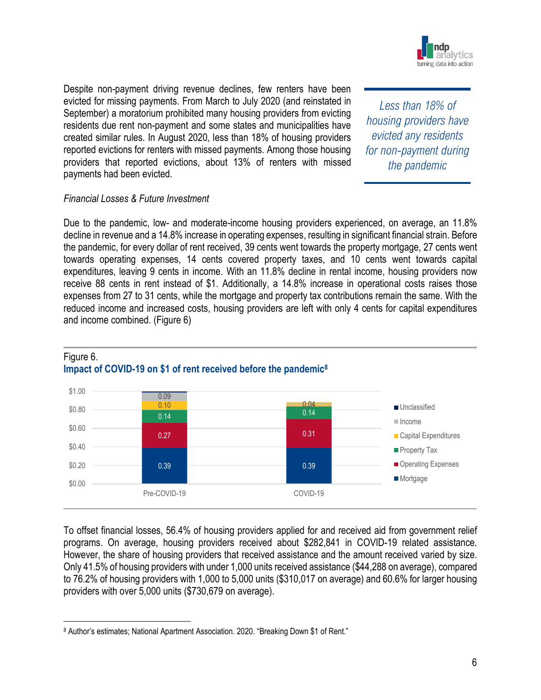

Despite non-payment driving revenue declines, few renters have been evicted for missing payments. From March to July 2020 (and reinstated in September) a moratorium prohibited many housing providers from evicting residents due rent non-payment and some states and municipalities have created similar rules. In August 2020, less than 18% of housing providers reported evictions for renters with missed payments. Among those housing providers that reported evictions, about 13% of renters with missed payments had been evicted.

*Less than 18% of housing providers have evicted any residents for non-payment during the pandemic*

## *Financial Losses & Future Investment*

Due to the pandemic, low- and moderate-income housing providers experienced, on average, an 11.8% decline in revenue and a 14.8% increase in operating expenses, resulting in significant financial strain. Before the pandemic, for every dollar of rent received, 39 cents went towards the property mortgage, 27 cents went towards operating expenses, 14 cents covered property taxes, and 10 cents went towards capital expenditures, leaving 9 cents in income. With an 11.8% decline in rental income, housing providers now receive 88 cents in rent instead of \$1. Additionally, a 14.8% increase in operational costs raises those expenses from 27 to 31 cents, while the mortgage and property tax contributions remain the same. With the reduced income and increased costs, housing providers are left with only 4 cents for capital expenditures and income combined. (Figure 6)



#### Figure 6. **Impact of COVID-19 on \$1 of rent received before the pandemic<sup>8</sup>**

To offset financial losses, 56.4% of housing providers applied for and received aid from government relief programs. On average, housing providers received about \$282,841 in COVID-19 related assistance. However, the share of housing providers that received assistance and the amount received varied by size. Only 41.5% of housing providers with under 1,000 units received assistance (\$44,288 on average), compared to 76.2% of housing providers with 1,000 to 5,000 units (\$310,017 on average) and 60.6% for larger housing providers with over 5,000 units (\$730,679 on average).

<sup>8</sup> Author's estimates; National Apartment Association. 2020. "Breaking Down \$1 of Rent."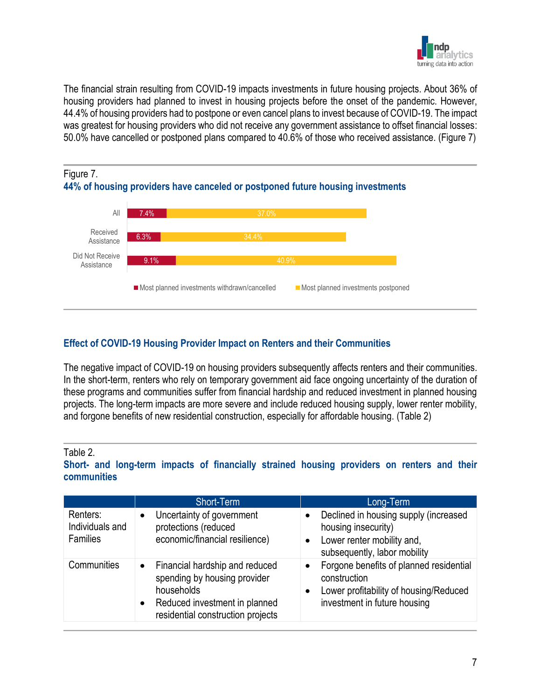

The financial strain resulting from COVID-19 impacts investments in future housing projects. About 36% of housing providers had planned to invest in housing projects before the onset of the pandemic. However, 44.4% of housing providers had to postpone or even cancel plans to invest because of COVID-19. The impact was greatest for housing providers who did not receive any government assistance to offset financial losses: 50.0% have cancelled or postponed plans compared to 40.6% of those who received assistance. (Figure 7)





## **Effect of COVID-19 Housing Provider Impact on Renters and their Communities**

The negative impact of COVID-19 on housing providers subsequently affects renters and their communities. In the short-term, renters who rely on temporary government aid face ongoing uncertainty of the duration of these programs and communities suffer from financial hardship and reduced investment in planned housing projects. The long-term impacts are more severe and include reduced housing supply, lower renter mobility, and forgone benefits of new residential construction, especially for affordable housing. (Table 2)

#### Table 2.

#### **Short- and long-term impacts of financially strained housing providers on renters and their communities**

|                                                | Short-Term                                                                                                                                                                   | Long-Term                                                                                                                                                   |
|------------------------------------------------|------------------------------------------------------------------------------------------------------------------------------------------------------------------------------|-------------------------------------------------------------------------------------------------------------------------------------------------------------|
| Renters:<br>Individuals and<br><b>Families</b> | Uncertainty of government<br>$\bullet$<br>protections (reduced<br>economic/financial resilience)                                                                             | Declined in housing supply (increased<br>housing insecurity)<br>Lower renter mobility and,<br>$\bullet$<br>subsequently, labor mobility                     |
| Communities                                    | Financial hardship and reduced<br>$\bullet$<br>spending by housing provider<br>households<br>Reduced investment in planned<br>$\bullet$<br>residential construction projects | Forgone benefits of planned residential<br>$\bullet$<br>construction<br>Lower profitability of housing/Reduced<br>$\bullet$<br>investment in future housing |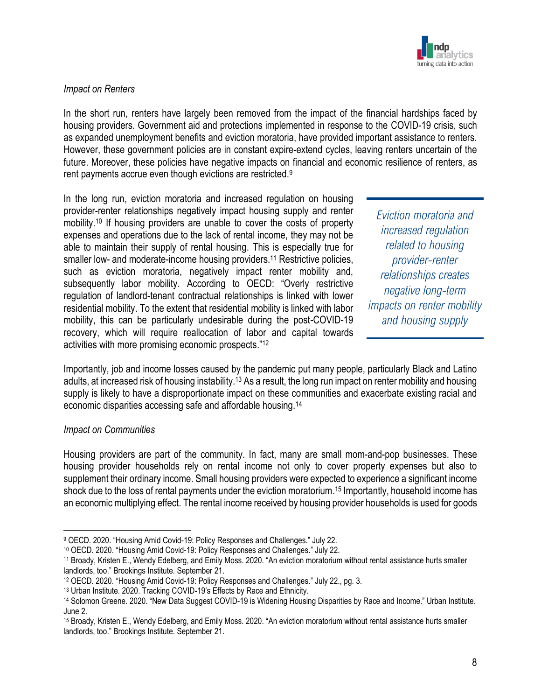

## *Impact on Renters*

In the short run, renters have largely been removed from the impact of the financial hardships faced by housing providers. Government aid and protections implemented in response to the COVID-19 crisis, such as expanded unemployment benefits and eviction moratoria, have provided important assistance to renters. However, these government policies are in constant expire-extend cycles, leaving renters uncertain of the future. Moreover, these policies have negative impacts on financial and economic resilience of renters, as rent payments accrue even though evictions are restricted.<sup>9</sup>

In the long run, eviction moratoria and increased regulation on housing provider-renter relationships negatively impact housing supply and renter mobility. <sup>10</sup> If housing providers are unable to cover the costs of property expenses and operations due to the lack of rental income, they may not be able to maintain their supply of rental housing. This is especially true for smaller low- and moderate-income housing providers.<sup>11</sup> Restrictive policies, such as eviction moratoria, negatively impact renter mobility and, subsequently labor mobility. According to OECD: "Overly restrictive regulation of landlord-tenant contractual relationships is linked with lower residential mobility. To the extent that residential mobility is linked with labor mobility, this can be particularly undesirable during the post-COVID-19 recovery, which will require reallocation of labor and capital towards activities with more promising economic prospects."<sup>12</sup>

*Eviction moratoria and increased regulation related to housing provider-renter relationships creates negative long-term impacts on renter mobility and housing supply*

Importantly, job and income losses caused by the pandemic put many people, particularly Black and Latino adults, at increased risk of housing instability.<sup>13</sup> As a result, the long run impact on renter mobility and housing supply is likely to have a disproportionate impact on these communities and exacerbate existing racial and economic disparities accessing safe and affordable housing.<sup>14</sup>

#### *Impact on Communities*

Housing providers are part of the community. In fact, many are small mom-and-pop businesses. These housing provider households rely on rental income not only to cover property expenses but also to supplement their ordinary income. Small housing providers were expected to experience a significant income shock due to the loss of rental payments under the eviction moratorium. <sup>15</sup> Importantly, household income has an economic multiplying effect. The rental income received by housing provider households is used for goods

<sup>9</sup> OECD. 2020. "Housing Amid Covid-19: Policy Responses and Challenges." July 22.

<sup>10</sup> OECD. 2020. "Housing Amid Covid-19: Policy Responses and Challenges." July 22.

<sup>11</sup> Broady, Kristen E., Wendy Edelberg, and Emily Moss. 2020. "An eviction moratorium without rental assistance hurts smaller landlords, too." Brookings Institute. September 21.

<sup>12</sup> OECD. 2020. "Housing Amid Covid-19: Policy Responses and Challenges." July 22., pg. 3.

<sup>13</sup> Urban Institute. 2020. Tracking COVID-19's Effects by Race and Ethnicity.

<sup>14</sup> Solomon Greene. 2020. "New Data Suggest COVID-19 is Widening Housing Disparities by Race and Income." Urban Institute. June 2.

<sup>15</sup> Broady, Kristen E., Wendy Edelberg, and Emily Moss. 2020. "An eviction moratorium without rental assistance hurts smaller landlords, too." Brookings Institute. September 21.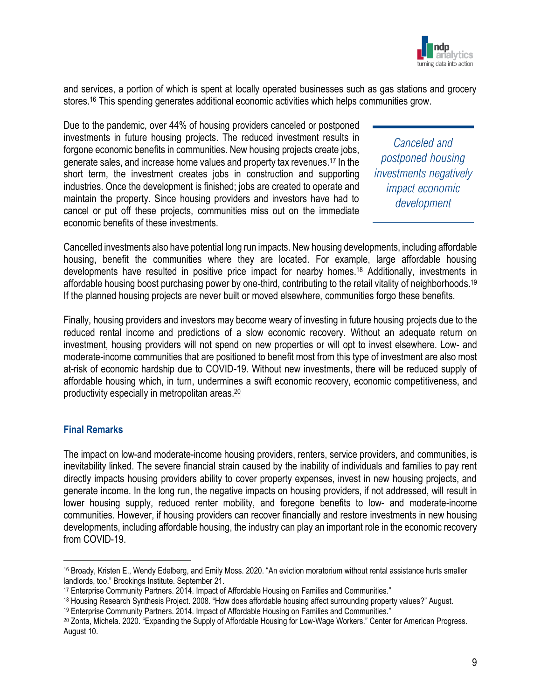

and services, a portion of which is spent at locally operated businesses such as gas stations and grocery stores. <sup>16</sup> This spending generates additional economic activities which helps communities grow.

Due to the pandemic, over 44% of housing providers canceled or postponed investments in future housing projects. The reduced investment results in forgone economic benefits in communities. New housing projects create jobs, generate sales, and increase home values and property tax revenues. <sup>17</sup> In the short term, the investment creates jobs in construction and supporting industries. Once the development is finished; jobs are created to operate and maintain the property. Since housing providers and investors have had to cancel or put off these projects, communities miss out on the immediate economic benefits of these investments.

*Canceled and postponed housing investments negatively impact economic development*

Cancelled investments also have potential long run impacts. New housing developments, including affordable housing, benefit the communities where they are located. For example, large affordable housing developments have resulted in positive price impact for nearby homes. <sup>18</sup> Additionally, investments in affordable housing boost purchasing power by one-third, contributing to the retail vitality of neighborhoods.<sup>19</sup> If the planned housing projects are never built or moved elsewhere, communities forgo these benefits.

Finally, housing providers and investors may become weary of investing in future housing projects due to the reduced rental income and predictions of a slow economic recovery. Without an adequate return on investment, housing providers will not spend on new properties or will opt to invest elsewhere. Low- and moderate-income communities that are positioned to benefit most from this type of investment are also most at-risk of economic hardship due to COVID-19. Without new investments, there will be reduced supply of affordable housing which, in turn, undermines a swift economic recovery, economic competitiveness, and productivity especially in metropolitan areas. 20

## **Final Remarks**

The impact on low-and moderate-income housing providers, renters, service providers, and communities, is inevitability linked. The severe financial strain caused by the inability of individuals and families to pay rent directly impacts housing providers ability to cover property expenses, invest in new housing projects, and generate income. In the long run, the negative impacts on housing providers, if not addressed, will result in lower housing supply, reduced renter mobility, and foregone benefits to low- and moderate-income communities. However, if housing providers can recover financially and restore investments in new housing developments, including affordable housing, the industry can play an important role in the economic recovery from COVID-19.

<sup>16</sup> Broady, Kristen E., Wendy Edelberg, and Emily Moss. 2020. "An eviction moratorium without rental assistance hurts smaller landlords, too." Brookings Institute. September 21.

<sup>17</sup> Enterprise Community Partners. 2014. Impact of Affordable Housing on Families and Communities."

<sup>18</sup> Housing Research Synthesis Project. 2008. "How does affordable housing affect surrounding property values?" August.

<sup>19</sup> Enterprise Community Partners. 2014. Impact of Affordable Housing on Families and Communities."

<sup>&</sup>lt;sup>20</sup> Zonta, Michela. 2020. "Expanding the Supply of Affordable Housing for Low-Wage Workers." Center for American Progress. August 10.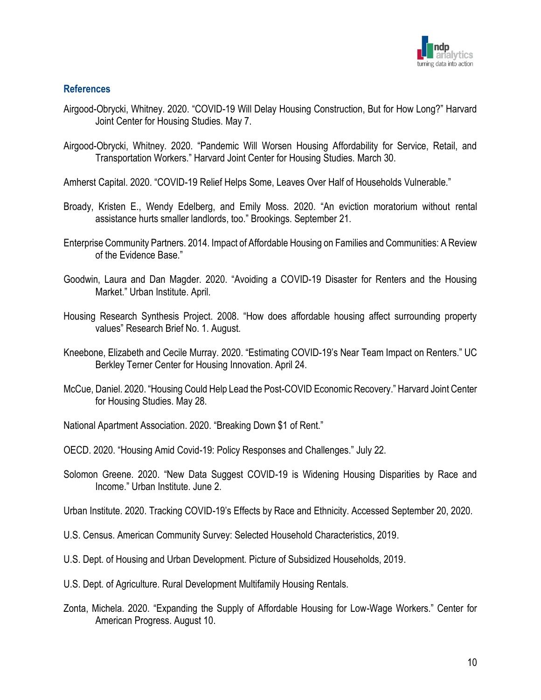

## **References**

- Airgood-Obrycki, Whitney. 2020. "COVID-19 Will Delay Housing Construction, But for How Long?" Harvard Joint Center for Housing Studies. May 7.
- Airgood-Obrycki, Whitney. 2020. "Pandemic Will Worsen Housing Affordability for Service, Retail, and Transportation Workers." Harvard Joint Center for Housing Studies. March 30.
- Amherst Capital. 2020. "COVID-19 Relief Helps Some, Leaves Over Half of Households Vulnerable."
- Broady, Kristen E., Wendy Edelberg, and Emily Moss. 2020. "An eviction moratorium without rental assistance hurts smaller landlords, too." Brookings. September 21.
- Enterprise Community Partners. 2014. Impact of Affordable Housing on Families and Communities: A Review of the Evidence Base."
- Goodwin, Laura and Dan Magder. 2020. "Avoiding a COVID-19 Disaster for Renters and the Housing Market." Urban Institute. April.
- Housing Research Synthesis Project. 2008. "How does affordable housing affect surrounding property values" Research Brief No. 1. August.
- Kneebone, Elizabeth and Cecile Murray. 2020. "Estimating COVID-19's Near Team Impact on Renters." UC Berkley Terner Center for Housing Innovation. April 24.
- McCue, Daniel. 2020. "Housing Could Help Lead the Post-COVID Economic Recovery." Harvard Joint Center for Housing Studies. May 28.
- National Apartment Association. 2020. "Breaking Down \$1 of Rent."
- OECD. 2020. "Housing Amid Covid-19: Policy Responses and Challenges." July 22.
- Solomon Greene. 2020. "New Data Suggest COVID-19 is Widening Housing Disparities by Race and Income." Urban Institute. June 2.

Urban Institute. 2020. Tracking COVID-19's Effects by Race and Ethnicity. Accessed September 20, 2020.

- U.S. Census. American Community Survey: Selected Household Characteristics, 2019.
- U.S. Dept. of Housing and Urban Development. Picture of Subsidized Households, 2019.
- U.S. Dept. of Agriculture. Rural Development Multifamily Housing Rentals.
- Zonta, Michela. 2020. "Expanding the Supply of Affordable Housing for Low-Wage Workers." Center for American Progress. August 10.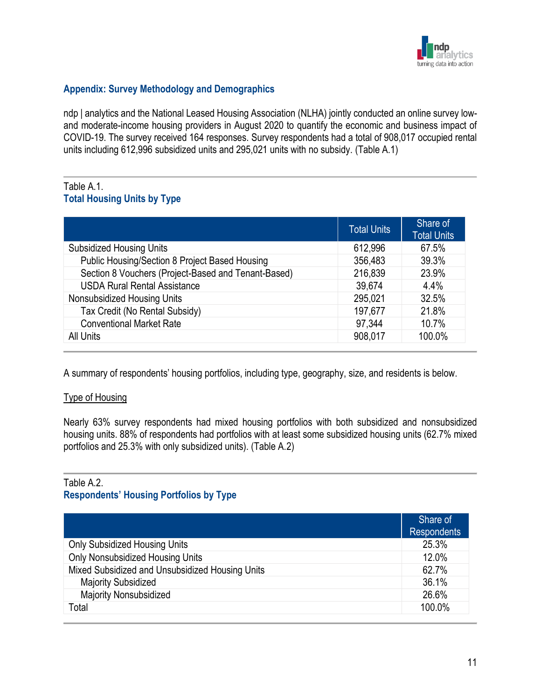

## **Appendix: Survey Methodology and Demographics**

ndp | analytics and the National Leased Housing Association (NLHA) jointly conducted an online survey lowand moderate-income housing providers in August 2020 to quantify the economic and business impact of COVID-19. The survey received 164 responses. Survey respondents had a total of 908,017 occupied rental units including 612,996 subsidized units and 295,021 units with no subsidy. (Table A.1)

## Table A.1. **Total Housing Units by Type**

|                                                     | Total Units | Share of<br><b>Total Units</b> |
|-----------------------------------------------------|-------------|--------------------------------|
| <b>Subsidized Housing Units</b>                     | 612,996     | 67.5%                          |
| Public Housing/Section 8 Project Based Housing      | 356,483     | 39.3%                          |
| Section 8 Vouchers (Project-Based and Tenant-Based) | 216,839     | 23.9%                          |
| <b>USDA Rural Rental Assistance</b>                 | 39,674      | 4.4%                           |
| Nonsubsidized Housing Units                         | 295,021     | 32.5%                          |
| Tax Credit (No Rental Subsidy)                      | 197,677     | 21.8%                          |
| <b>Conventional Market Rate</b>                     | 97,344      | 10.7%                          |
| All Units                                           | 908,017     | 100.0%                         |

A summary of respondents' housing portfolios, including type, geography, size, and residents is below.

## Type of Housing

Nearly 63% survey respondents had mixed housing portfolios with both subsidized and nonsubsidized housing units. 88% of respondents had portfolios with at least some subsidized housing units (62.7% mixed portfolios and 25.3% with only subsidized units). (Table A.2)

#### Table A.2.

#### **Respondents' Housing Portfolios by Type**

|                                                 | Share of<br><b>Respondents</b> |
|-------------------------------------------------|--------------------------------|
| <b>Only Subsidized Housing Units</b>            | 25.3%                          |
| Only Nonsubsidized Housing Units                | 12.0%                          |
| Mixed Subsidized and Unsubsidized Housing Units | 62.7%                          |
| <b>Majority Subsidized</b>                      | 36.1%                          |
| <b>Majority Nonsubsidized</b>                   | 26.6%                          |
| Total                                           | 100.0%                         |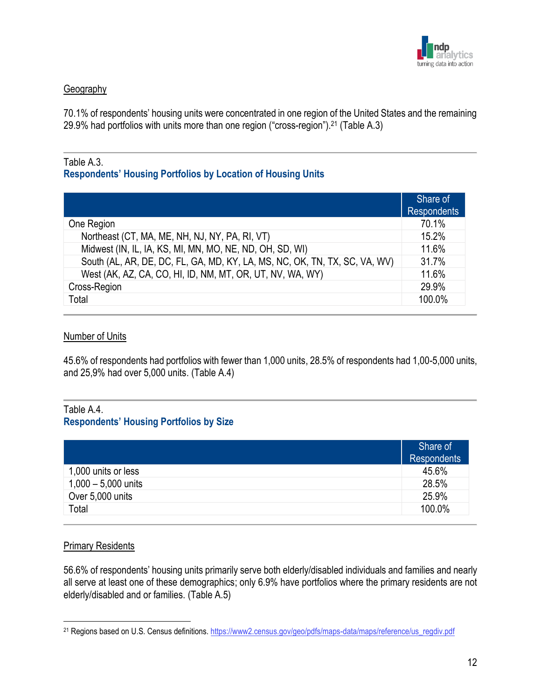

## **Geography**

70.1% of respondents' housing units were concentrated in one region of the United States and the remaining 29.9% had portfolios with units more than one region ("cross-region").<sup>21</sup> (Table A.3)

#### Table A.3.

## **Respondents' Housing Portfolios by Location of Housing Units**

|                                                                            | Share of<br><b>Respondents</b> |
|----------------------------------------------------------------------------|--------------------------------|
| One Region                                                                 | 70.1%                          |
| Northeast (CT, MA, ME, NH, NJ, NY, PA, RI, VT)                             | 15.2%                          |
| Midwest (IN, IL, IA, KS, MI, MN, MO, NE, ND, OH, SD, WI)                   | 11.6%                          |
| South (AL, AR, DE, DC, FL, GA, MD, KY, LA, MS, NC, OK, TN, TX, SC, VA, WV) | 31.7%                          |
| West (AK, AZ, CA, CO, HI, ID, NM, MT, OR, UT, NV, WA, WY)                  | 11.6%                          |
| Cross-Region                                                               | 29.9%                          |
| Total                                                                      | 100.0%                         |

#### Number of Units

45.6% of respondents had portfolios with fewer than 1,000 units, 28.5% of respondents had 1,00-5,000 units, and 25,9% had over 5,000 units. (Table A.4)

## Table A.4. **Respondents' Housing Portfolios by Size**

|                       | Share of<br><b>Respondents</b> |
|-----------------------|--------------------------------|
| 1,000 units or less   | 45.6%                          |
| $1,000 - 5,000$ units | 28.5%                          |
| Over 5,000 units      | 25.9%                          |
| Total                 | 100.0%                         |

#### Primary Residents

56.6% of respondents' housing units primarily serve both elderly/disabled individuals and families and nearly all serve at least one of these demographics; only 6.9% have portfolios where the primary residents are not elderly/disabled and or families. (Table A.5)

<sup>21</sup> Regions based on U.S. Census definitions[. https://www2.census.gov/geo/pdfs/maps-data/maps/reference/us\\_regdiv.pdf](https://www2.census.gov/geo/pdfs/maps-data/maps/reference/us_regdiv.pdf)